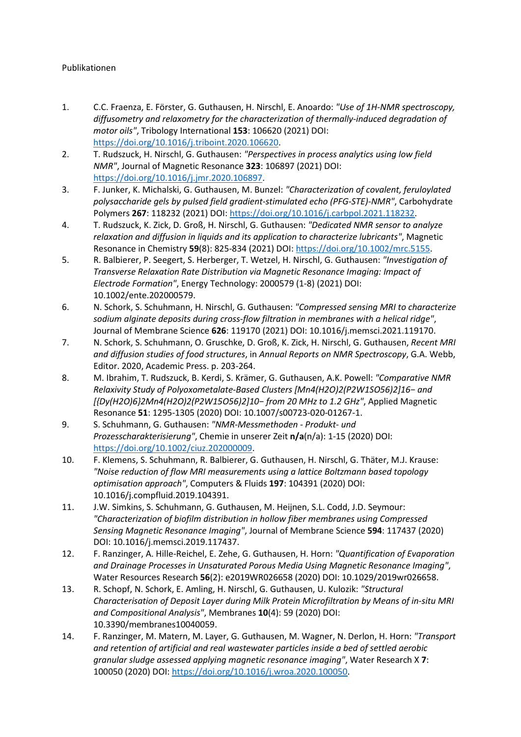## Publikationen

- 1. C.C. Fraenza, E. Förster, G. Guthausen, H. Nirschl, E. Anoardo: *"Use of 1H-NMR spectroscopy, diffusometry and relaxometry for the characterization of thermally-induced degradation of motor oils"*, Tribology International **153**: 106620 (2021) DOI: [https://doi.org/10.1016/j.triboint.2020.106620.](https://doi.org/10.1016/j.triboint.2020.106620)
- 2. T. Rudszuck, H. Nirschl, G. Guthausen: *"Perspectives in process analytics using low field NMR"*, Journal of Magnetic Resonance **323**: 106897 (2021) DOI: [https://doi.org/10.1016/j.jmr.2020.106897.](https://doi.org/10.1016/j.jmr.2020.106897)
- 3. F. Junker, K. Michalski, G. Guthausen, M. Bunzel: *"Characterization of covalent, feruloylated polysaccharide gels by pulsed field gradient-stimulated echo (PFG-STE)-NMR"*, Carbohydrate Polymers **267**: 118232 (2021) DOI[: https://doi.org/10.1016/j.carbpol.2021.118232.](https://doi.org/10.1016/j.carbpol.2021.118232)
- 4. T. Rudszuck, K. Zick, D. Groß, H. Nirschl, G. Guthausen: *"Dedicated NMR sensor to analyze relaxation and diffusion in liquids and its application to characterize lubricants"*, Magnetic Resonance in Chemistry **59**(8): 825-834 (2021) DOI: [https://doi.org/10.1002/mrc.5155.](https://doi.org/10.1002/mrc.5155)
- 5. R. Balbierer, P. Seegert, S. Herberger, T. Wetzel, H. Nirschl, G. Guthausen: *"Investigation of Transverse Relaxation Rate Distribution via Magnetic Resonance Imaging: Impact of Electrode Formation"*, Energy Technology: 2000579 (1-8) (2021) DOI: 10.1002/ente.202000579.
- 6. N. Schork, S. Schuhmann, H. Nirschl, G. Guthausen: *"Compressed sensing MRI to characterize sodium alginate deposits during cross-flow filtration in membranes with a helical ridge"*, Journal of Membrane Science **626**: 119170 (2021) DOI: 10.1016/j.memsci.2021.119170.
- 7. N. Schork, S. Schuhmann, O. Gruschke, D. Groß, K. Zick, H. Nirschl, G. Guthausen, *Recent MRI and diffusion studies of food structures*, in *Annual Reports on NMR Spectroscopy*, G.A. Webb, Editor. 2020, Academic Press. p. 203-264.
- 8. M. Ibrahim, T. Rudszuck, B. Kerdi, S. Krämer, G. Guthausen, A.K. Powell: *"Comparative NMR Relaxivity Study of Polyoxometalate-Based Clusters [Mn4(H2O)2(P2W1SO56)2]16− and [{Dy(H2O)6}2Mn4(H2O)2(P2W15O56)2]10− from 20 MHz to 1.2 GHz"*, Applied Magnetic Resonance **51**: 1295-1305 (2020) DOI: 10.1007/s00723-020-01267-1.
- 9. S. Schuhmann, G. Guthausen: *"NMR-Messmethoden - Produkt- und Prozesscharakterisierung"*, Chemie in unserer Zeit **n/a**(n/a): 1-15 (2020) DOI: [https://doi.org/10.1002/ciuz.202000009.](https://doi.org/10.1002/ciuz.202000009)
- 10. F. Klemens, S. Schuhmann, R. Balbierer, G. Guthausen, H. Nirschl, G. Thäter, M.J. Krause: *"Noise reduction of flow MRI measurements using a lattice Boltzmann based topology optimisation approach"*, Computers & Fluids **197**: 104391 (2020) DOI: 10.1016/j.compfluid.2019.104391.
- 11. J.W. Simkins, S. Schuhmann, G. Guthausen, M. Heijnen, S.L. Codd, J.D. Seymour: *"Characterization of biofilm distribution in hollow fiber membranes using Compressed Sensing Magnetic Resonance Imaging"*, Journal of Membrane Science **594**: 117437 (2020) DOI: 10.1016/j.memsci.2019.117437.
- 12. F. Ranzinger, A. Hille-Reichel, E. Zehe, G. Guthausen, H. Horn: *"Quantification of Evaporation and Drainage Processes in Unsaturated Porous Media Using Magnetic Resonance Imaging"*, Water Resources Research **56**(2): e2019WR026658 (2020) DOI: 10.1029/2019wr026658.
- 13. R. Schopf, N. Schork, E. Amling, H. Nirschl, G. Guthausen, U. Kulozik: *"Structural Characterisation of Deposit Layer during Milk Protein Microfiltration by Means of in-situ MRI and Compositional Analysis"*, Membranes **10**(4): 59 (2020) DOI: 10.3390/membranes10040059.
- 14. F. Ranzinger, M. Matern, M. Layer, G. Guthausen, M. Wagner, N. Derlon, H. Horn: *"Transport and retention of artificial and real wastewater particles inside a bed of settled aerobic granular sludge assessed applying magnetic resonance imaging"*, Water Research X **7**: 100050 (2020) DOI[: https://doi.org/10.1016/j.wroa.2020.100050.](https://doi.org/10.1016/j.wroa.2020.100050)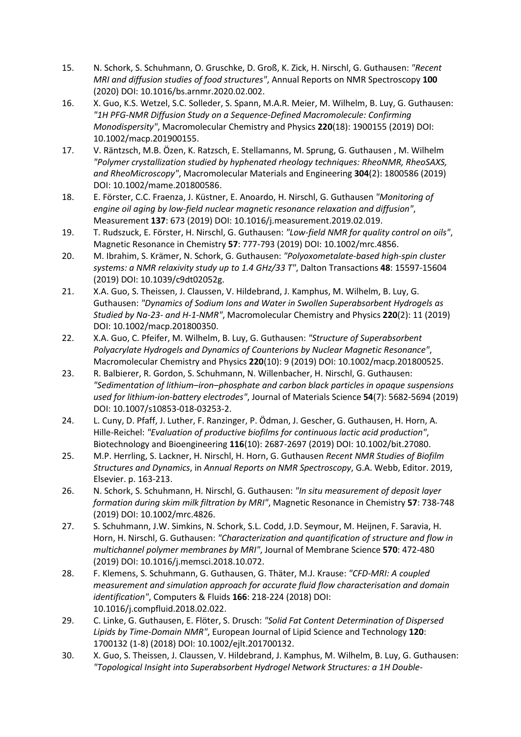- 15. N. Schork, S. Schuhmann, O. Gruschke, D. Groß, K. Zick, H. Nirschl, G. Guthausen: *"Recent MRI and diffusion studies of food structures"*, Annual Reports on NMR Spectroscopy **100** (2020) DOI: 10.1016/bs.arnmr.2020.02.002.
- 16. X. Guo, K.S. Wetzel, S.C. Solleder, S. Spann, M.A.R. Meier, M. Wilhelm, B. Luy, G. Guthausen: *"1H PFG-NMR Diffusion Study on a Sequence-Defined Macromolecule: Confirming Monodispersity"*, Macromolecular Chemistry and Physics **220**(18): 1900155 (2019) DOI: 10.1002/macp.201900155.
- 17. V. Räntzsch, M.B. Özen, K. Ratzsch, E. Stellamanns, M. Sprung, G. Guthausen , M. Wilhelm *"Polymer crystallization studied by hyphenated rheology techniques: RheoNMR, RheoSAXS, and RheoMicroscopy"*, Macromolecular Materials and Engineering **304**(2): 1800586 (2019) DOI: 10.1002/mame.201800586.
- 18. E. Förster, C.C. Fraenza, J. Küstner, E. Anoardo, H. Nirschl, G. Guthausen *"Monitoring of engine oil aging by low-field nuclear magnetic resonance relaxation and diffusion"*, Measurement **137**: 673 (2019) DOI: 10.1016/j.measurement.2019.02.019.
- 19. T. Rudszuck, E. Förster, H. Nirschl, G. Guthausen: *"Low-field NMR for quality control on oils"*, Magnetic Resonance in Chemistry **57**: 777-793 (2019) DOI: 10.1002/mrc.4856.
- 20. M. Ibrahim, S. Krämer, N. Schork, G. Guthausen: *"Polyoxometalate-based high-spin cluster systems: a NMR relaxivity study up to 1.4 GHz/33 T"*, Dalton Transactions **48**: 15597-15604 (2019) DOI: 10.1039/c9dt02052g.
- 21. X.A. Guo, S. Theissen, J. Claussen, V. Hildebrand, J. Kamphus, M. Wilhelm, B. Luy, G. Guthausen: *"Dynamics of Sodium Ions and Water in Swollen Superabsorbent Hydrogels as Studied by Na-23- and H-1-NMR"*, Macromolecular Chemistry and Physics **220**(2): 11 (2019) DOI: 10.1002/macp.201800350.
- 22. X.A. Guo, C. Pfeifer, M. Wilhelm, B. Luy, G. Guthausen: *"Structure of Superabsorbent Polyacrylate Hydrogels and Dynamics of Counterions by Nuclear Magnetic Resonance"*, Macromolecular Chemistry and Physics **220**(10): 9 (2019) DOI: 10.1002/macp.201800525.
- 23. R. Balbierer, R. Gordon, S. Schuhmann, N. Willenbacher, H. Nirschl, G. Guthausen: *"Sedimentation of lithium–iron–phosphate and carbon black particles in opaque suspensions used for lithium-ion-battery electrodes"*, Journal of Materials Science **54**(7): 5682-5694 (2019) DOI: 10.1007/s10853-018-03253-2.
- 24. L. Cuny, D. Pfaff, J. Luther, F. Ranzinger, P. Ödman, J. Gescher, G. Guthausen, H. Horn, A. Hille-Reichel: *"Evaluation of productive biofilms for continuous lactic acid production"*, Biotechnology and Bioengineering **116**(10): 2687-2697 (2019) DOI: 10.1002/bit.27080.
- 25. M.P. Herrling, S. Lackner, H. Nirschl, H. Horn, G. Guthausen *Recent NMR Studies of Biofilm Structures and Dynamics*, in *Annual Reports on NMR Spectroscopy*, G.A. Webb, Editor. 2019, Elsevier. p. 163-213.
- 26. N. Schork, S. Schuhmann, H. Nirschl, G. Guthausen: *"In situ measurement of deposit layer formation during skim milk filtration by MRI"*, Magnetic Resonance in Chemistry **57**: 738-748 (2019) DOI: 10.1002/mrc.4826.
- 27. S. Schuhmann, J.W. Simkins, N. Schork, S.L. Codd, J.D. Seymour, M. Heijnen, F. Saravia, H. Horn, H. Nirschl, G. Guthausen: *"Characterization and quantification of structure and flow in multichannel polymer membranes by MRI"*, Journal of Membrane Science **570**: 472-480 (2019) DOI: 10.1016/j.memsci.2018.10.072.
- 28. F. Klemens, S. Schuhmann, G. Guthausen, G. Thäter, M.J. Krause: *"CFD-MRI: A coupled measurement and simulation approach for accurate fluid flow characterisation and domain identification"*, Computers & Fluids **166**: 218-224 (2018) DOI: 10.1016/j.compfluid.2018.02.022.
- 29. C. Linke, G. Guthausen, E. Flöter, S. Drusch: *"Solid Fat Content Determination of Dispersed Lipids by Time-Domain NMR"*, European Journal of Lipid Science and Technology **120**: 1700132 (1-8) (2018) DOI: 10.1002/ejlt.201700132.
- 30. X. Guo, S. Theissen, J. Claussen, V. Hildebrand, J. Kamphus, M. Wilhelm, B. Luy, G. Guthausen: *"Topological Insight into Superabsorbent Hydrogel Network Structures: a 1H Double-*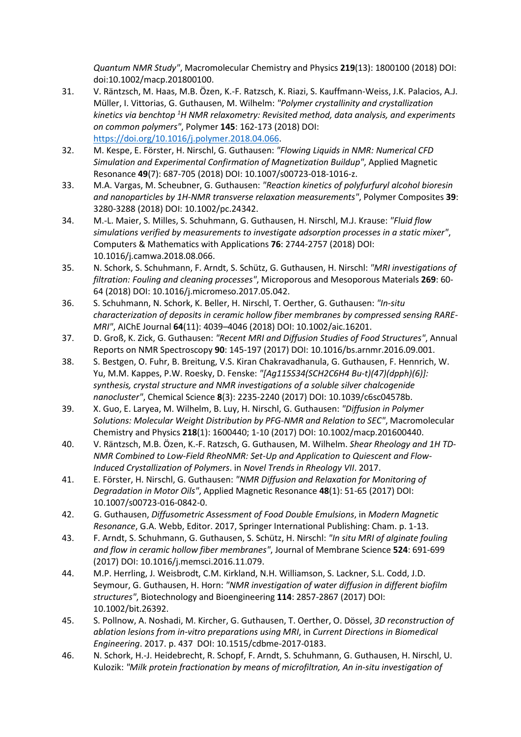*Quantum NMR Study"*, Macromolecular Chemistry and Physics **219**(13): 1800100 (2018) DOI: doi:10.1002/macp.201800100.

- 31. V. Räntzsch, M. Haas, M.B. Özen, K.-F. Ratzsch, K. Riazi, S. Kauffmann-Weiss, J.K. Palacios, A.J. Müller, I. Vittorias, G. Guthausen, M. Wilhelm: *"Polymer crystallinity and crystallization kinetics via benchtop 1 H NMR relaxometry: Revisited method, data analysis, and experiments on common polymers"*, Polymer **145**: 162-173 (2018) DOI: [https://doi.org/10.1016/j.polymer.2018.04.066.](https://doi.org/10.1016/j.polymer.2018.04.066)
- 32. M. Kespe, E. Förster, H. Nirschl, G. Guthausen: *"Flowing Liquids in NMR: Numerical CFD Simulation and Experimental Confirmation of Magnetization Buildup"*, Applied Magnetic Resonance **49**(7): 687-705 (2018) DOI: 10.1007/s00723-018-1016-z.
- 33. M.A. Vargas, M. Scheubner, G. Guthausen: *"Reaction kinetics of polyfurfuryl alcohol bioresin and nanoparticles by 1H-NMR transverse relaxation measurements"*, Polymer Composites **39**: 3280-3288 (2018) DOI: 10.1002/pc.24342.
- 34. M.-L. Maier, S. Milles, S. Schuhmann, G. Guthausen, H. Nirschl, M.J. Krause: *"Fluid flow simulations verified by measurements to investigate adsorption processes in a static mixer"*, Computers & Mathematics with Applications **76**: 2744-2757 (2018) DOI: 10.1016/j.camwa.2018.08.066.
- 35. N. Schork, S. Schuhmann, F. Arndt, S. Schütz, G. Guthausen, H. Nirschl: *"MRI investigations of filtration: Fouling and cleaning processes"*, Microporous and Mesoporous Materials **269**: 60- 64 (2018) DOI: 10.1016/j.micromeso.2017.05.042.
- 36. S. Schuhmann, N. Schork, K. Beller, H. Nirschl, T. Oerther, G. Guthausen: *"In-situ characterization of deposits in ceramic hollow fiber membranes by compressed sensing RARE-MRI"*, AIChE Journal **64**(11): 4039–4046 (2018) DOI: 10.1002/aic.16201.
- 37. D. Groß, K. Zick, G. Guthausen: *"Recent MRI and Diffusion Studies of Food Structures"*, Annual Reports on NMR Spectroscopy **90**: 145-197 (2017) DOI: 10.1016/bs.arnmr.2016.09.001.
- 38. S. Bestgen, O. Fuhr, B. Breitung, V.S. Kiran Chakravadhanula, G. Guthausen, F. Hennrich, W. Yu, M.M. Kappes, P.W. Roesky, D. Fenske: *"[Ag115S34(SCH2C6H4 Bu-t)(47)(dpph)(6)]: synthesis, crystal structure and NMR investigations of a soluble silver chalcogenide nanocluster"*, Chemical Science **8**(3): 2235-2240 (2017) DOI: 10.1039/c6sc04578b.
- 39. X. Guo, E. Laryea, M. Wilhelm, B. Luy, H. Nirschl, G. Guthausen: *"Diffusion in Polymer Solutions: Molecular Weight Distribution by PFG-NMR and Relation to SEC"*, Macromolecular Chemistry and Physics **218**(1): 1600440; 1-10 (2017) DOI: 10.1002/macp.201600440.
- 40. V. Räntzsch, M.B. Özen, K.-F. Ratzsch, G. Guthausen, M. Wilhelm. *Shear Rheology and 1H TD-NMR Combined to Low-Field RheoNMR: Set-Up and Application to Quiescent and Flow-Induced Crystallization of Polymers*. in *Novel Trends in Rheology VII*. 2017.
- 41. E. Förster, H. Nirschl, G. Guthausen: *"NMR Diffusion and Relaxation for Monitoring of Degradation in Motor Oils"*, Applied Magnetic Resonance **48**(1): 51-65 (2017) DOI: 10.1007/s00723-016-0842-0.
- 42. G. Guthausen, *Diffusometric Assessment of Food Double Emulsions*, in *Modern Magnetic Resonance*, G.A. Webb, Editor. 2017, Springer International Publishing: Cham. p. 1-13.
- 43. F. Arndt, S. Schuhmann, G. Guthausen, S. Schütz, H. Nirschl: *"In situ MRI of alginate fouling and flow in ceramic hollow fiber membranes"*, Journal of Membrane Science **524**: 691-699 (2017) DOI: 10.1016/j.memsci.2016.11.079.
- 44. M.P. Herrling, J. Weisbrodt, C.M. Kirkland, N.H. Williamson, S. Lackner, S.L. Codd, J.D. Seymour, G. Guthausen, H. Horn: *"NMR investigation of water diffusion in different biofilm structures"*, Biotechnology and Bioengineering **114**: 2857-2867 (2017) DOI: 10.1002/bit.26392.
- 45. S. Pollnow, A. Noshadi, M. Kircher, G. Guthausen, T. Oerther, O. Dössel, *3D reconstruction of ablation lesions from in-vitro preparations using MRI*, in *Current Directions in Biomedical Engineering*. 2017. p. 437 DOI: 10.1515/cdbme-2017-0183.
- 46. N. Schork, H.-J. Heidebrecht, R. Schopf, F. Arndt, S. Schuhmann, G. Guthausen, H. Nirschl, U. Kulozik: *"Milk protein fractionation by means of microfiltration, An in-situ investigation of*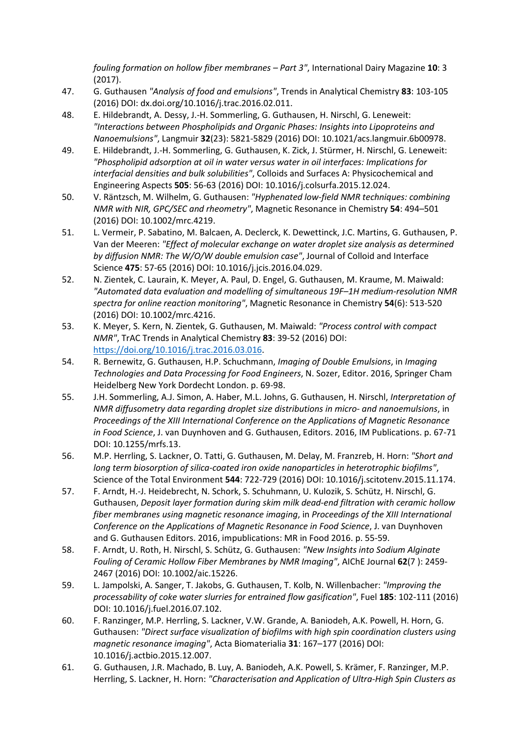*fouling formation on hollow fiber membranes – Part 3"*, International Dairy Magazine **10**: 3 (2017).

- 47. G. Guthausen *"Analysis of food and emulsions"*, Trends in Analytical Chemistry **83**: 103-105 (2016) DOI: dx.doi.org/10.1016/j.trac.2016.02.011.
- 48. E. Hildebrandt, A. Dessy, J.-H. Sommerling, G. Guthausen, H. Nirschl, G. Leneweit: *"Interactions between Phospholipids and Organic Phases: Insights into Lipoproteins and Nanoemulsions"*, Langmuir **32**(23): 5821-5829 (2016) DOI: 10.1021/acs.langmuir.6b00978.
- 49. E. Hildebrandt, J.-H. Sommerling, G. Guthausen, K. Zick, J. Stürmer, H. Nirschl, G. Leneweit: *"Phospholipid adsorption at oil in water versus water in oil interfaces: Implications for interfacial densities and bulk solubilities"*, Colloids and Surfaces A: Physicochemical and Engineering Aspects **505**: 56-63 (2016) DOI: 10.1016/j.colsurfa.2015.12.024.
- 50. V. Räntzsch, M. Wilhelm, G. Guthausen: *"Hyphenated low-field NMR techniques: combining NMR with NIR, GPC/SEC and rheometry"*, Magnetic Resonance in Chemistry **54**: 494–501 (2016) DOI: 10.1002/mrc.4219.
- 51. L. Vermeir, P. Sabatino, M. Balcaen, A. Declerck, K. Dewettinck, J.C. Martins, G. Guthausen, P. Van der Meeren: *"Effect of molecular exchange on water droplet size analysis as determined by diffusion NMR: The W/O/W double emulsion case"*, Journal of Colloid and Interface Science **475**: 57-65 (2016) DOI: 10.1016/j.jcis.2016.04.029.
- 52. N. Zientek, C. Laurain, K. Meyer, A. Paul, D. Engel, G. Guthausen, M. Kraume, M. Maiwald: *"Automated data evaluation and modelling of simultaneous 19F–1H medium-resolution NMR spectra for online reaction monitoring"*, Magnetic Resonance in Chemistry **54**(6): 513-520 (2016) DOI: 10.1002/mrc.4216.
- 53. K. Meyer, S. Kern, N. Zientek, G. Guthausen, M. Maiwald: *"Process control with compact NMR"*, TrAC Trends in Analytical Chemistry **83**: 39-52 (2016) DOI: [https://doi.org/10.1016/j.trac.2016.03.016.](https://doi.org/10.1016/j.trac.2016.03.016)
- 54. R. Bernewitz, G. Guthausen, H.P. Schuchmann, *Imaging of Double Emulsions*, in *Imaging Technologies and Data Processing for Food Engineers*, N. Sozer, Editor. 2016, Springer Cham Heidelberg New York Dordecht London. p. 69-98.
- 55. J.H. Sommerling, A.J. Simon, A. Haber, M.L. Johns, G. Guthausen, H. Nirschl, *Interpretation of NMR diffusometry data regarding droplet size distributions in micro- and nanoemulsions*, in *Proceedings of the XIII International Conference on the Applications of Magnetic Resonance in Food Science*, J. van Duynhoven and G. Guthausen, Editors. 2016, IM Publications. p. 67-71 DOI: 10.1255/mrfs.13.
- 56. M.P. Herrling, S. Lackner, O. Tatti, G. Guthausen, M. Delay, M. Franzreb, H. Horn: *"Short and long term biosorption of silica-coated iron oxide nanoparticles in heterotrophic biofilms"*, Science of the Total Environment **544**: 722-729 (2016) DOI: 10.1016/j.scitotenv.2015.11.174.
- 57. F. Arndt, H.-J. Heidebrecht, N. Schork, S. Schuhmann, U. Kulozik, S. Schütz, H. Nirschl, G. Guthausen, *Deposit layer formation during skim milk dead-end filtration with ceramic hollow fiber membranes using magnetic resonance imaging*, in *Proceedings of the XIII International Conference on the Applications of Magnetic Resonance in Food Science*, J. van Duynhoven and G. Guthausen Editors. 2016, impublications: MR in Food 2016. p. 55-59.
- 58. F. Arndt, U. Roth, H. Nirschl, S. Schütz, G. Guthausen: *"New Insights into Sodium Alginate Fouling of Ceramic Hollow Fiber Membranes by NMR Imaging"*, AIChE Journal **62**(7 ): 2459- 2467 (2016) DOI: 10.1002/aic.15226.
- 59. L. Jampolski, A. Sanger, T. Jakobs, G. Guthausen, T. Kolb, N. Willenbacher: *"Improving the processability of coke water slurries for entrained flow gasification"*, Fuel **185**: 102-111 (2016) DOI: 10.1016/j.fuel.2016.07.102.
- 60. F. Ranzinger, M.P. Herrling, S. Lackner, V.W. Grande, A. Baniodeh, A.K. Powell, H. Horn, G. Guthausen: *"Direct surface visualization of biofilms with high spin coordination clusters using magnetic resonance imaging"*, Acta Biomaterialia **31**: 167–177 (2016) DOI: 10.1016/j.actbio.2015.12.007.
- 61. G. Guthausen, J.R. Machado, B. Luy, A. Baniodeh, A.K. Powell, S. Krämer, F. Ranzinger, M.P. Herrling, S. Lackner, H. Horn: *"Characterisation and Application of Ultra-High Spin Clusters as*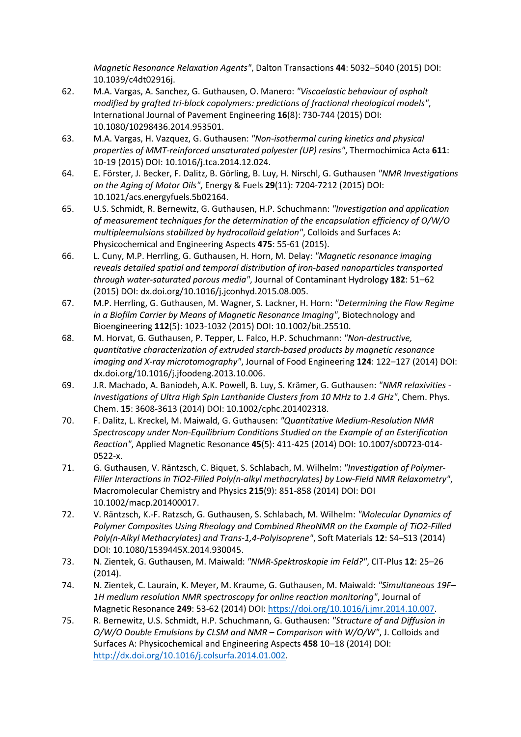*Magnetic Resonance Relaxation Agents"*, Dalton Transactions **44**: 5032–5040 (2015) DOI: 10.1039/c4dt02916j.

- 62. M.A. Vargas, A. Sanchez, G. Guthausen, O. Manero: *"Viscoelastic behaviour of asphalt modified by grafted tri-block copolymers: predictions of fractional rheological models"*, International Journal of Pavement Engineering **16**(8): 730-744 (2015) DOI: 10.1080/10298436.2014.953501.
- 63. M.A. Vargas, H. Vazquez, G. Guthausen: *"Non-isothermal curing kinetics and physical properties of MMT-reinforced unsaturated polyester (UP) resins"*, Thermochimica Acta **611**: 10-19 (2015) DOI: 10.1016/j.tca.2014.12.024.
- 64. E. Förster, J. Becker, F. Dalitz, B. Görling, B. Luy, H. Nirschl, G. Guthausen *"NMR Investigations on the Aging of Motor Oils"*, Energy & Fuels **29**(11): 7204-7212 (2015) DOI: 10.1021/acs.energyfuels.5b02164.
- 65. U.S. Schmidt, R. Bernewitz, G. Guthausen, H.P. Schuchmann: *"Investigation and application of measurement techniques for the determination of the encapsulation efficiency of O/W/O multipleemulsions stabilized by hydrocolloid gelation"*, Colloids and Surfaces A: Physicochemical and Engineering Aspects **475**: 55-61 (2015).
- 66. L. Cuny, M.P. Herrling, G. Guthausen, H. Horn, M. Delay: *"Magnetic resonance imaging reveals detailed spatial and temporal distribution of iron-based nanoparticles transported through water-saturated porous media"*, Journal of Contaminant Hydrology **182**: 51–62 (2015) DOI: dx.doi.org/10.1016/j.jconhyd.2015.08.005.
- 67. M.P. Herrling, G. Guthausen, M. Wagner, S. Lackner, H. Horn: *"Determining the Flow Regime in a Biofilm Carrier by Means of Magnetic Resonance Imaging"*, Biotechnology and Bioengineering **112**(5): 1023-1032 (2015) DOI: 10.1002/bit.25510.
- 68. M. Horvat, G. Guthausen, P. Tepper, L. Falco, H.P. Schuchmann: *"Non-destructive, quantitative characterization of extruded starch-based products by magnetic resonance imaging and X-ray microtomography"*, Journal of Food Engineering **124**: 122–127 (2014) DOI: dx.doi.org/10.1016/j.jfoodeng.2013.10.006.
- 69. J.R. Machado, A. Baniodeh, A.K. Powell, B. Luy, S. Krämer, G. Guthausen: *"NMR relaxivities - Investigations of Ultra High Spin Lanthanide Clusters from 10 MHz to 1.4 GHz"*, Chem. Phys. Chem. **15**: 3608-3613 (2014) DOI: 10.1002/cphc.201402318.
- 70. F. Dalitz, L. Kreckel, M. Maiwald, G. Guthausen: *"Quantitative Medium-Resolution NMR Spectroscopy under Non-Equilibrium Conditions Studied on the Example of an Esterification Reaction"*, Applied Magnetic Resonance **45**(5): 411-425 (2014) DOI: 10.1007/s00723-014- 0522-x.
- 71. G. Guthausen, V. Räntzsch, C. Biquet, S. Schlabach, M. Wilhelm: *"Investigation of Polymer-Filler Interactions in TiO2-Filled Poly(n-alkyl methacrylates) by Low-Field NMR Relaxometry"*, Macromolecular Chemistry and Physics **215**(9): 851-858 (2014) DOI: DOI 10.1002/macp.201400017.
- 72. V. Räntzsch, K.-F. Ratzsch, G. Guthausen, S. Schlabach, M. Wilhelm: *"Molecular Dynamics of Polymer Composites Using Rheology and Combined RheoNMR on the Example of TiO2-Filled Poly(n-Alkyl Methacrylates) and Trans-1,4-Polyisoprene"*, Soft Materials **12**: S4–S13 (2014) DOI: 10.1080/1539445X.2014.930045.
- 73. N. Zientek, G. Guthausen, M. Maiwald: *"NMR-Spektroskopie im Feld?"*, CIT-Plus **12**: 25–26 (2014).
- 74. N. Zientek, C. Laurain, K. Meyer, M. Kraume, G. Guthausen, M. Maiwald: *"Simultaneous 19F– 1H medium resolution NMR spectroscopy for online reaction monitoring"*, Journal of Magnetic Resonance **249**: 53-62 (2014) DOI: [https://doi.org/10.1016/j.jmr.2014.10.007.](https://doi.org/10.1016/j.jmr.2014.10.007)
- 75. R. Bernewitz, U.S. Schmidt, H.P. Schuchmann, G. Guthausen: *"Structure of and Diffusion in O/W/O Double Emulsions by CLSM and NMR – Comparison with W/O/W"*, J. Colloids and Surfaces A: Physicochemical and Engineering Aspects **458** 10–18 (2014) DOI: [http://dx.doi.org/10.1016/j.colsurfa.2014.01.002.](http://dx.doi.org/10.1016/j.colsurfa.2014.01.002)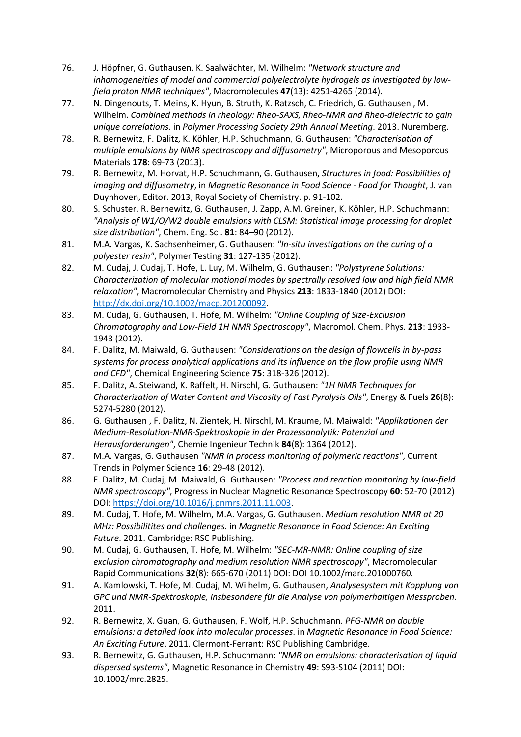- 76. J. Höpfner, G. Guthausen, K. Saalwächter, M. Wilhelm: *"Network structure and inhomogeneities of model and commercial polyelectrolyte hydrogels as investigated by lowfield proton NMR techniques"*, Macromolecules **47**(13): 4251-4265 (2014).
- 77. N. Dingenouts, T. Meins, K. Hyun, B. Struth, K. Ratzsch, C. Friedrich, G. Guthausen , M. Wilhelm. *Combined methods in rheology: Rheo-SAXS, Rheo-NMR and Rheo-dielectric to gain unique correlations*. in *Polymer Processing Society 29th Annual Meeting*. 2013. Nuremberg.
- 78. R. Bernewitz, F. Dalitz, K. Köhler, H.P. Schuchmann, G. Guthausen: *"Characterisation of multiple emulsions by NMR spectroscopy and diffusometry"*, Microporous and Mesoporous Materials **178**: 69-73 (2013).
- 79. R. Bernewitz, M. Horvat, H.P. Schuchmann, G. Guthausen, *Structures in food: Possibilities of imaging and diffusometry*, in *Magnetic Resonance in Food Science - Food for Thought*, J. van Duynhoven, Editor. 2013, Royal Society of Chemistry. p. 91-102.
- 80. S. Schuster, R. Bernewitz, G. Guthausen, J. Zapp, A.M. Greiner, K. Köhler, H.P. Schuchmann: *"Analysis of W1/O/W2 double emulsions with CLSM: Statistical image processing for droplet size distribution"*, Chem. Eng. Sci. **81**: 84–90 (2012).
- 81. M.A. Vargas, K. Sachsenheimer, G. Guthausen: *"In-situ investigations on the curing of a polyester resin"*, Polymer Testing **31**: 127-135 (2012).
- 82. M. Cudaj, J. Cudaj, T. Hofe, L. Luy, M. Wilhelm, G. Guthausen: *"Polystyrene Solutions: Characterization of molecular motional modes by spectrally resolved low and high field NMR relaxation"*, Macromolecular Chemistry and Physics **213**: 1833-1840 (2012) DOI: [http://dx.doi.org/10.1002/macp.201200092.](http://dx.doi.org/10.1002/macp.201200092)
- 83. M. Cudaj, G. Guthausen, T. Hofe, M. Wilhelm: *"Online Coupling of Size-Exclusion Chromatography and Low-Field 1H NMR Spectroscopy"*, Macromol. Chem. Phys. **213**: 1933- 1943 (2012).
- 84. F. Dalitz, M. Maiwald, G. Guthausen: *"Considerations on the design of flowcells in by-pass systems for process analytical applications and its influence on the flow profile using NMR and CFD"*, Chemical Engineering Science **75**: 318-326 (2012).
- 85. F. Dalitz, A. Steiwand, K. Raffelt, H. Nirschl, G. Guthausen: *"1H NMR Techniques for Characterization of Water Content and Viscosity of Fast Pyrolysis Oils"*, Energy & Fuels **26**(8): 5274-5280 (2012).
- 86. G. Guthausen , F. Dalitz, N. Zientek, H. Nirschl, M. Kraume, M. Maiwald: *"Applikationen der Medium-Resolution-NMR-Spektroskopie in der Prozessanalytik: Potenzial und Herausforderungen"*, Chemie Ingenieur Technik **84**(8): 1364 (2012).
- 87. M.A. Vargas, G. Guthausen *"NMR in process monitoring of polymeric reactions"*, Current Trends in Polymer Science **16**: 29-48 (2012).
- 88. F. Dalitz, M. Cudaj, M. Maiwald, G. Guthausen: *"Process and reaction monitoring by low-field NMR spectroscopy"*, Progress in Nuclear Magnetic Resonance Spectroscopy **60**: 52-70 (2012) DOI: [https://doi.org/10.1016/j.pnmrs.2011.11.003.](https://doi.org/10.1016/j.pnmrs.2011.11.003)
- 89. M. Cudaj, T. Hofe, M. Wilhelm, M.A. Vargas, G. Guthausen. *Medium resolution NMR at 20 MHz: Possibilitites and challenges*. in *Magnetic Resonance in Food Science: An Exciting Future*. 2011. Cambridge: RSC Publishing.
- 90. M. Cudaj, G. Guthausen, T. Hofe, M. Wilhelm: *"SEC-MR-NMR: Online coupling of size exclusion chromatography and medium resolution NMR spectroscopy"*, Macromolecular Rapid Communications **32**(8): 665-670 (2011) DOI: DOI 10.1002/marc.201000760.
- 91. A. Kamlowski, T. Hofe, M. Cudaj, M. Wilhelm, G. Guthausen, *Analysesystem mit Kopplung von GPC und NMR-Spektroskopie, insbesondere für die Analyse von polymerhaltigen Messproben*. 2011.
- 92. R. Bernewitz, X. Guan, G. Guthausen, F. Wolf, H.P. Schuchmann. *PFG-NMR on double emulsions: a detailed look into molecular processes*. in *Magnetic Resonance in Food Science: An Exciting Future*. 2011. Clermont-Ferrant: RSC Publishing Cambridge.
- 93. R. Bernewitz, G. Guthausen, H.P. Schuchmann: *"NMR on emulsions: characterisation of liquid dispersed systems"*, Magnetic Resonance in Chemistry **49**: S93-S104 (2011) DOI: 10.1002/mrc.2825.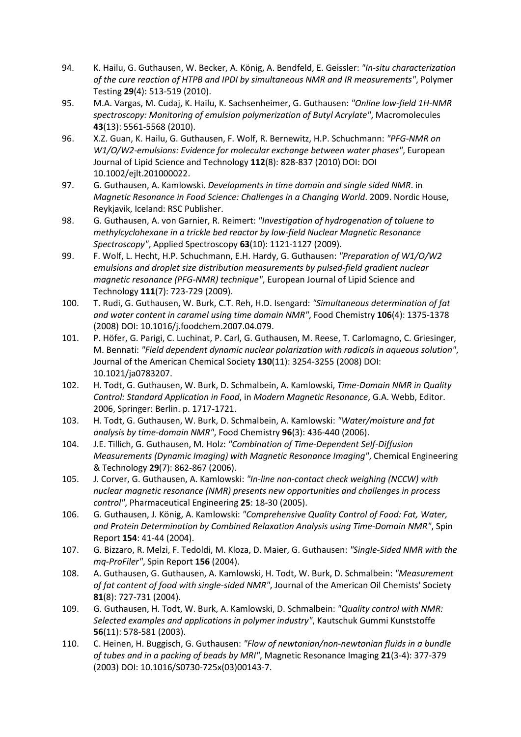- 94. K. Hailu, G. Guthausen, W. Becker, A. König, A. Bendfeld, E. Geissler: *"In-situ characterization of the cure reaction of HTPB and IPDI by simultaneous NMR and IR measurements"*, Polymer Testing **29**(4): 513-519 (2010).
- 95. M.A. Vargas, M. Cudaj, K. Hailu, K. Sachsenheimer, G. Guthausen: *"Online low-field 1H-NMR spectroscopy: Monitoring of emulsion polymerization of Butyl Acrylate"*, Macromolecules **43**(13): 5561-5568 (2010).
- 96. X.Z. Guan, K. Hailu, G. Guthausen, F. Wolf, R. Bernewitz, H.P. Schuchmann: *"PFG-NMR on W1/O/W2-emulsions: Evidence for molecular exchange between water phases"*, European Journal of Lipid Science and Technology **112**(8): 828-837 (2010) DOI: DOI 10.1002/ejlt.201000022.
- 97. G. Guthausen, A. Kamlowski. *Developments in time domain and single sided NMR*. in *Magnetic Resonance in Food Science: Challenges in a Changing World*. 2009. Nordic House, Reykjavik, Iceland: RSC Publisher.
- 98. G. Guthausen, A. von Garnier, R. Reimert: *"Investigation of hydrogenation of toluene to methylcyclohexane in a trickle bed reactor by low-field Nuclear Magnetic Resonance Spectroscopy"*, Applied Spectroscopy **63**(10): 1121-1127 (2009).
- 99. F. Wolf, L. Hecht, H.P. Schuchmann, E.H. Hardy, G. Guthausen: *"Preparation of W1/O/W2 emulsions and droplet size distribution measurements by pulsed-field gradient nuclear magnetic resonance (PFG-NMR) technique"*, European Journal of Lipid Science and Technology **111**(7): 723-729 (2009).
- 100. T. Rudi, G. Guthausen, W. Burk, C.T. Reh, H.D. Isengard: *"Simultaneous determination of fat and water content in caramel using time domain NMR"*, Food Chemistry **106**(4): 1375-1378 (2008) DOI: 10.1016/j.foodchem.2007.04.079.
- 101. P. Höfer, G. Parigi, C. Luchinat, P. Carl, G. Guthausen, M. Reese, T. Carlomagno, C. Griesinger, M. Bennati: *"Field dependent dynamic nuclear polarization with radicals in aqueous solution"*, Journal of the American Chemical Society **130**(11): 3254-3255 (2008) DOI: 10.1021/ja0783207.
- 102. H. Todt, G. Guthausen, W. Burk, D. Schmalbein, A. Kamlowski, *Time-Domain NMR in Quality Control: Standard Application in Food*, in *Modern Magnetic Resonance*, G.A. Webb, Editor. 2006, Springer: Berlin. p. 1717-1721.
- 103. H. Todt, G. Guthausen, W. Burk, D. Schmalbein, A. Kamlowski: *"Water/moisture and fat analysis by time-domain NMR"*, Food Chemistry **96**(3): 436-440 (2006).
- 104. J.E. Tillich, G. Guthausen, M. Holz: *"Combination of Time-Dependent Self-Diffusion Measurements (Dynamic Imaging) with Magnetic Resonance Imaging"*, Chemical Engineering & Technology **29**(7): 862-867 (2006).
- 105. J. Corver, G. Guthausen, A. Kamlowski: *"In-line non-contact check weighing (NCCW) with nuclear magnetic resonance (NMR) presents new opportunities and challenges in process control"*, Pharmaceutical Engineering **25**: 18-30 (2005).
- 106. G. Guthausen, J. König, A. Kamlowski: *"Comprehensive Quality Control of Food: Fat, Water, and Protein Determination by Combined Relaxation Analysis using Time-Domain NMR"*, Spin Report **154**: 41-44 (2004).
- 107. G. Bizzaro, R. Melzi, F. Tedoldi, M. Kloza, D. Maier, G. Guthausen: *"Single-Sided NMR with the mq-ProFiler"*, Spin Report **156** (2004).
- 108. A. Guthausen, G. Guthausen, A. Kamlowski, H. Todt, W. Burk, D. Schmalbein: *"Measurement of fat content of food with single-sided NMR"*, Journal of the American Oil Chemists' Society **81**(8): 727-731 (2004).
- 109. G. Guthausen, H. Todt, W. Burk, A. Kamlowski, D. Schmalbein: *"Quality control with NMR: Selected examples and applications in polymer industry"*, Kautschuk Gummi Kunststoffe **56**(11): 578-581 (2003).
- 110. C. Heinen, H. Buggisch, G. Guthausen: *"Flow of newtonian/non-newtonian fluids in a bundle of tubes and in a packing of beads by MRI"*, Magnetic Resonance Imaging **21**(3-4): 377-379 (2003) DOI: 10.1016/S0730-725x(03)00143-7.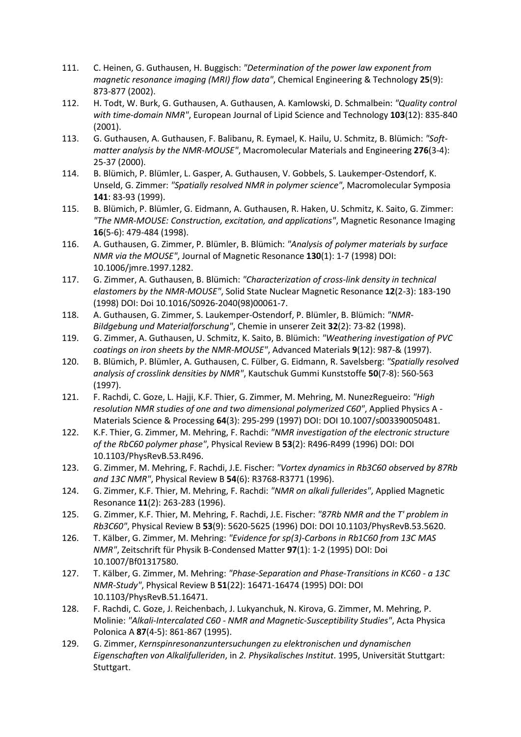- 111. C. Heinen, G. Guthausen, H. Buggisch: *"Determination of the power law exponent from magnetic resonance imaging (MRI) flow data"*, Chemical Engineering & Technology **25**(9): 873-877 (2002).
- 112. H. Todt, W. Burk, G. Guthausen, A. Guthausen, A. Kamlowski, D. Schmalbein: *"Quality control with time-domain NMR"*, European Journal of Lipid Science and Technology **103**(12): 835-840 (2001).
- 113. G. Guthausen, A. Guthausen, F. Balibanu, R. Eymael, K. Hailu, U. Schmitz, B. Blümich: *"Softmatter analysis by the NMR-MOUSE"*, Macromolecular Materials and Engineering **276**(3-4): 25-37 (2000).
- 114. B. Blümich, P. Blümler, L. Gasper, A. Guthausen, V. Gobbels, S. Laukemper-Ostendorf, K. Unseld, G. Zimmer: *"Spatially resolved NMR in polymer science"*, Macromolecular Symposia **141**: 83-93 (1999).
- 115. B. Blümich, P. Blümler, G. Eidmann, A. Guthausen, R. Haken, U. Schmitz, K. Saito, G. Zimmer: *"The NMR-MOUSE: Construction, excitation, and applications"*, Magnetic Resonance Imaging **16**(5-6): 479-484 (1998).
- 116. A. Guthausen, G. Zimmer, P. Blümler, B. Blümich: *"Analysis of polymer materials by surface NMR via the MOUSE"*, Journal of Magnetic Resonance **130**(1): 1-7 (1998) DOI: 10.1006/jmre.1997.1282.
- 117. G. Zimmer, A. Guthausen, B. Blümich: *"Characterization of cross-link density in technical elastomers by the NMR-MOUSE"*, Solid State Nuclear Magnetic Resonance **12**(2-3): 183-190 (1998) DOI: Doi 10.1016/S0926-2040(98)00061-7.
- 118. A. Guthausen, G. Zimmer, S. Laukemper-Ostendorf, P. Blümler, B. Blümich: *"NMR-BiIdgebung und Materialforschung"*, Chemie in unserer Zeit **32**(2): 73-82 (1998).
- 119. G. Zimmer, A. Guthausen, U. Schmitz, K. Saito, B. Blümich: *"Weathering investigation of PVC coatings on iron sheets by the NMR-MOUSE"*, Advanced Materials **9**(12): 987-& (1997).
- 120. B. Blümich, P. Blümler, A. Guthausen, C. Fülber, G. Eidmann, R. Savelsberg: *"Spatially resolved analysis of crosslink densities by NMR"*, Kautschuk Gummi Kunststoffe **50**(7-8): 560-563 (1997).
- 121. F. Rachdi, C. Goze, L. Hajji, K.F. Thier, G. Zimmer, M. Mehring, M. NunezRegueiro: *"High resolution NMR studies of one and two dimensional polymerized C60"*, Applied Physics A - Materials Science & Processing **64**(3): 295-299 (1997) DOI: DOI 10.1007/s003390050481.
- 122. K.F. Thier, G. Zimmer, M. Mehring, F. Rachdi: *"NMR investigation of the electronic structure of the RbC60 polymer phase"*, Physical Review B **53**(2): R496-R499 (1996) DOI: DOI 10.1103/PhysRevB.53.R496.
- 123. G. Zimmer, M. Mehring, F. Rachdi, J.E. Fischer: *"Vortex dynamics in Rb3C60 observed by 87Rb and 13C NMR"*, Physical Review B **54**(6): R3768-R3771 (1996).
- 124. G. Zimmer, K.F. Thier, M. Mehring, F. Rachdi: *"NMR on alkali fullerides"*, Applied Magnetic Resonance **11**(2): 263-283 (1996).
- 125. G. Zimmer, K.F. Thier, M. Mehring, F. Rachdi, J.E. Fischer: *"87Rb NMR and the T' problem in Rb3C60"*, Physical Review B **53**(9): 5620-5625 (1996) DOI: DOI 10.1103/PhysRevB.53.5620.
- 126. T. Kälber, G. Zimmer, M. Mehring: *"Evidence for sp(3)-Carbons in Rb1C60 from 13C MAS NMR"*, Zeitschrift für Physik B-Condensed Matter **97**(1): 1-2 (1995) DOI: Doi 10.1007/Bf01317580.
- 127. T. Kälber, G. Zimmer, M. Mehring: *"Phase-Separation and Phase-Transitions in KC60 - a 13C NMR-Study"*, Physical Review B **51**(22): 16471-16474 (1995) DOI: DOI 10.1103/PhysRevB.51.16471.
- 128. F. Rachdi, C. Goze, J. Reichenbach, J. Lukyanchuk, N. Kirova, G. Zimmer, M. Mehring, P. Molinie: *"Alkali-Intercalated C60 - NMR and Magnetic-Susceptibility Studies"*, Acta Physica Polonica A **87**(4-5): 861-867 (1995).
- 129. G. Zimmer, *Kernspinresonanzuntersuchungen zu elektronischen und dynamischen Eigenschaften von Alkalifulleriden*, in *2. Physikalisches Institut*. 1995, Universität Stuttgart: Stuttgart.